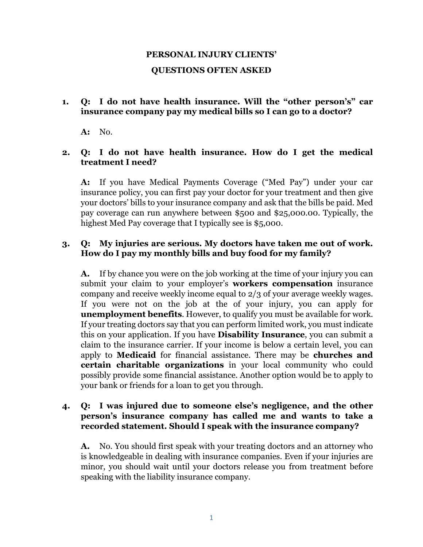# **PERSONAL INJURY CLIENTS' QUESTIONS OFTEN ASKED**

#### **1. Q: I do not have health insurance. Will the "other person's" car insurance company pay my medical bills so I can go to a doctor?**

**A:** No.

#### **2. Q: I do not have health insurance. How do I get the medical treatment I need?**

**A:** If you have Medical Payments Coverage ("Med Pay") under your car insurance policy, you can first pay your doctor for your treatment and then give your doctors' bills to your insurance company and ask that the bills be paid. Med pay coverage can run anywhere between \$500 and \$25,000.00. Typically, the highest Med Pay coverage that I typically see is \$5,000.

## **3. Q: My injuries are serious. My doctors have taken me out of work. How do I pay my monthly bills and buy food for my family?**

**A.** If by chance you were on the job working at the time of your injury you can submit your claim to your employer's **workers compensation** insurance company and receive weekly income equal to 2/3 of your average weekly wages. If you were not on the job at the of your injury, you can apply for **unemployment benefits**. However, to qualify you must be available for work. If your treating doctors say that you can perform limited work, you must indicate this on your application. If you have **Disability Insurance**, you can submit a claim to the insurance carrier. If your income is below a certain level, you can apply to **Medicaid** for financial assistance. There may be **churches and certain charitable organizations** in your local community who could possibly provide some financial assistance. Another option would be to apply to your bank or friends for a loan to get you through.

## **4. Q: I was injured due to someone else's negligence, and the other person's insurance company has called me and wants to take a recorded statement. Should I speak with the insurance company?**

**A.** No. You should first speak with your treating doctors and an attorney who is knowledgeable in dealing with insurance companies. Even if your injuries are minor, you should wait until your doctors release you from treatment before speaking with the liability insurance company.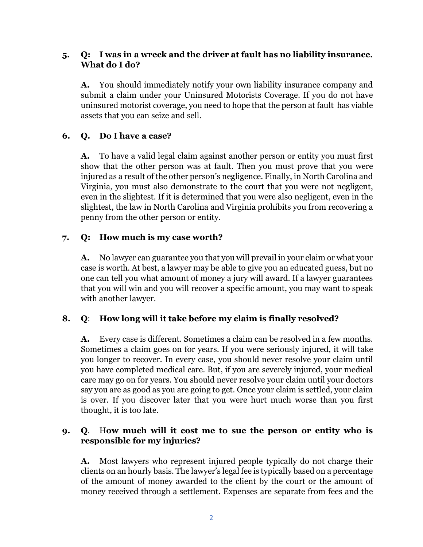## **5. Q: I was in a wreck and the driver at fault has no liability insurance. What do I do?**

**A.** You should immediately notify your own liability insurance company and submit a claim under your Uninsured Motorists Coverage. If you do not have uninsured motorist coverage, you need to hope that the person at fault has viable assets that you can seize and sell.

# **6. Q. Do I have a case?**

**A.** To have a valid legal claim against another person or entity you must first show that the other person was at fault. Then you must prove that you were injured as a result of the other person's negligence. Finally, in North Carolina and Virginia, you must also demonstrate to the court that you were not negligent, even in the slightest. If it is determined that you were also negligent, even in the slightest, the law in North Carolina and Virginia prohibits you from recovering a penny from the other person or entity.

## **7. Q: How much is my case worth?**

**A.** No lawyer can guarantee you that you will prevail in your claim or what your case is worth. At best, a lawyer may be able to give you an educated guess, but no one can tell you what amount of money a jury will award. If a lawyer guarantees that you will win and you will recover a specific amount, you may want to speak with another lawyer.

## **8. Q**: **How long will it take before my claim is finally resolved?**

**A.** Every case is different. Sometimes a claim can be resolved in a few months. Sometimes a claim goes on for years. If you were seriously injured, it will take you longer to recover. In every case, you should never resolve your claim until you have completed medical care. But, if you are severely injured, your medical care may go on for years. You should never resolve your claim until your doctors say you are as good as you are going to get. Once your claim is settled, your claim is over. If you discover later that you were hurt much worse than you first thought, it is too late.

## **9. Q**. H**ow much will it cost me to sue the person or entity who is responsible for my injuries?**

**A.** Most lawyers who represent injured people typically do not charge their clients on an hourly basis. The lawyer's legal fee is typically based on a percentage of the amount of money awarded to the client by the court or the amount of money received through a settlement. Expenses are separate from fees and the